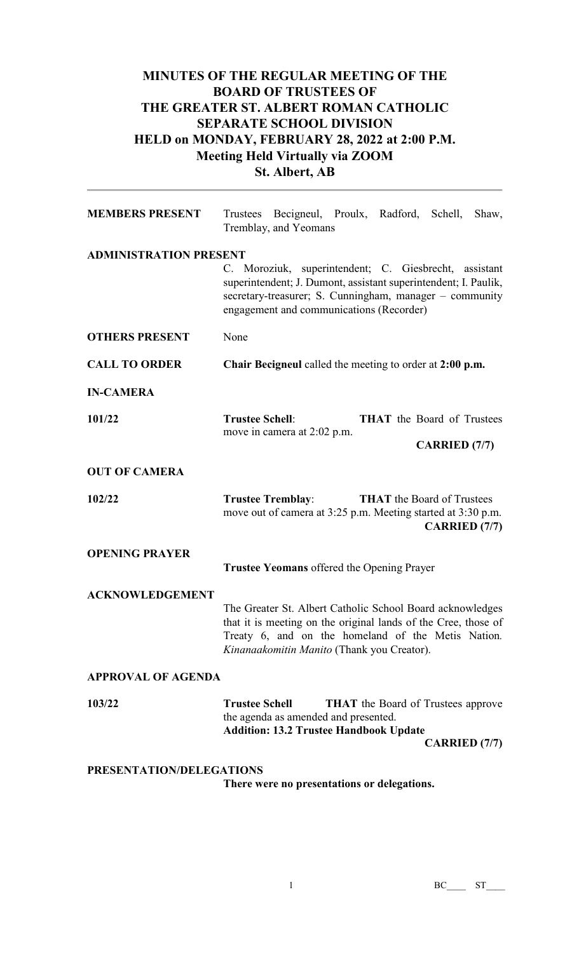## **MINUTES OF THE REGULAR MEETING OF THE BOARD OF TRUSTEES OF THE GREATER ST. ALBERT ROMAN CATHOLIC SEPARATE SCHOOL DIVISION HELD on MONDAY, FEBRUARY 28, 2022 at 2:00 P.M. Meeting Held Virtually via ZOOM St. Albert, AB**

| <b>MEMBERS PRESENT</b>        | Trustees Becigneul, Proulx, Radford, Schell, Shaw,<br>Tremblay, and Yeomans                                                                                                                                                     |  |  |  |
|-------------------------------|---------------------------------------------------------------------------------------------------------------------------------------------------------------------------------------------------------------------------------|--|--|--|
| <b>ADMINISTRATION PRESENT</b> | C. Moroziuk, superintendent; C. Giesbrecht, assistant<br>superintendent; J. Dumont, assistant superintendent; I. Paulik,<br>secretary-treasurer; S. Cunningham, manager - community<br>engagement and communications (Recorder) |  |  |  |
| <b>OTHERS PRESENT</b>         | None                                                                                                                                                                                                                            |  |  |  |
| <b>CALL TO ORDER</b>          | Chair Becigneul called the meeting to order at 2:00 p.m.                                                                                                                                                                        |  |  |  |
| <b>IN-CAMERA</b>              |                                                                                                                                                                                                                                 |  |  |  |
| 101/22                        | <b>Trustee Schell:</b><br><b>THAT</b> the Board of Trustees<br>move in camera at 2:02 p.m.<br><b>CARRIED</b> (7/7)                                                                                                              |  |  |  |
| <b>OUT OF CAMERA</b>          |                                                                                                                                                                                                                                 |  |  |  |
| 102/22                        | <b>THAT</b> the Board of Trustees<br><b>Trustee Tremblay:</b><br>move out of camera at 3:25 p.m. Meeting started at 3:30 p.m.<br><b>CARRIED</b> (7/7)                                                                           |  |  |  |
| <b>OPENING PRAYER</b>         | <b>Trustee Yeomans</b> offered the Opening Prayer                                                                                                                                                                               |  |  |  |
| <b>ACKNOWLEDGEMENT</b>        | The Greater St. Albert Catholic School Board acknowledges<br>that it is meeting on the original lands of the Cree, those of<br>Treaty 6, and on the homeland of the Metis Nation.<br>Kinanaakomitin Manito (Thank you Creator). |  |  |  |
| <b>APPROVAL OF AGENDA</b>     |                                                                                                                                                                                                                                 |  |  |  |
| 103/22                        | <b>Trustee Schell</b><br><b>THAT</b> the Board of Trustees approve<br>the agenda as amended and presented.<br><b>Addition: 13.2 Trustee Handbook Update</b><br><b>CARRIED</b> (7/7)                                             |  |  |  |
| PRESENTATION/DELEGATIONS      |                                                                                                                                                                                                                                 |  |  |  |

 **There were no presentations or delegations.**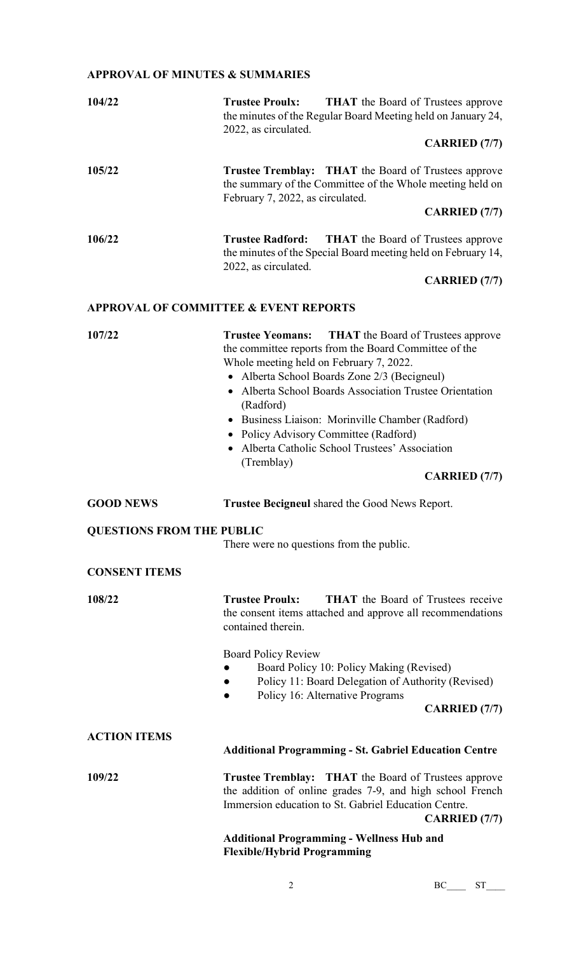## **APPROVAL OF MINUTES & SUMMARIES**

| 104/22                           | <b>Trustee Proulx:</b><br><b>THAT</b> the Board of Trustees approve<br>the minutes of the Regular Board Meeting held on January 24,<br>2022, as circulated.                                                                                                                                                                                                                                                                                                                            |  |  |
|----------------------------------|----------------------------------------------------------------------------------------------------------------------------------------------------------------------------------------------------------------------------------------------------------------------------------------------------------------------------------------------------------------------------------------------------------------------------------------------------------------------------------------|--|--|
|                                  | <b>CARRIED</b> (7/7)                                                                                                                                                                                                                                                                                                                                                                                                                                                                   |  |  |
| 105/22                           | <b>Trustee Tremblay:</b> THAT the Board of Trustees approve<br>the summary of the Committee of the Whole meeting held on<br>February 7, 2022, as circulated.<br><b>CARRIED</b> (7/7)                                                                                                                                                                                                                                                                                                   |  |  |
| 106/22                           | <b>Trustee Radford:</b><br><b>THAT</b> the Board of Trustees approve<br>the minutes of the Special Board meeting held on February 14,<br>2022, as circulated.<br><b>CARRIED</b> (7/7)                                                                                                                                                                                                                                                                                                  |  |  |
|                                  | <b>APPROVAL OF COMMITTEE &amp; EVENT REPORTS</b>                                                                                                                                                                                                                                                                                                                                                                                                                                       |  |  |
| 107/22                           | <b>Trustee Yeomans:</b><br><b>THAT</b> the Board of Trustees approve<br>the committee reports from the Board Committee of the<br>Whole meeting held on February 7, 2022.<br>• Alberta School Boards Zone 2/3 (Becigneul)<br>• Alberta School Boards Association Trustee Orientation<br>(Radford)<br>• Business Liaison: Morinville Chamber (Radford)<br>• Policy Advisory Committee (Radford)<br>• Alberta Catholic School Trustees' Association<br>(Tremblay)<br><b>CARRIED</b> (7/7) |  |  |
|                                  |                                                                                                                                                                                                                                                                                                                                                                                                                                                                                        |  |  |
| <b>GOOD NEWS</b>                 | Trustee Becigneul shared the Good News Report.                                                                                                                                                                                                                                                                                                                                                                                                                                         |  |  |
| <b>QUESTIONS FROM THE PUBLIC</b> | There were no questions from the public.                                                                                                                                                                                                                                                                                                                                                                                                                                               |  |  |
| <b>CONSENT ITEMS</b>             |                                                                                                                                                                                                                                                                                                                                                                                                                                                                                        |  |  |
| 108/22                           | <b>Trustee Proulx:</b><br><b>THAT</b> the Board of Trustees receive<br>the consent items attached and approve all recommendations<br>contained therein.<br><b>Board Policy Review</b>                                                                                                                                                                                                                                                                                                  |  |  |
|                                  | Board Policy 10: Policy Making (Revised)<br>Policy 11: Board Delegation of Authority (Revised)<br>Policy 16: Alternative Programs                                                                                                                                                                                                                                                                                                                                                      |  |  |
|                                  | <b>CARRIED</b> (7/7)                                                                                                                                                                                                                                                                                                                                                                                                                                                                   |  |  |
| <b>ACTION ITEMS</b>              | <b>Additional Programming - St. Gabriel Education Centre</b>                                                                                                                                                                                                                                                                                                                                                                                                                           |  |  |
| 109/22                           | <b>Trustee Tremblay:</b> THAT the Board of Trustees approve<br>the addition of online grades 7-9, and high school French<br>Immersion education to St. Gabriel Education Centre.<br><b>CARRIED</b> (7/7)                                                                                                                                                                                                                                                                               |  |  |

**Flexible/Hybrid Programming**

2 BC\_\_\_\_ ST\_\_\_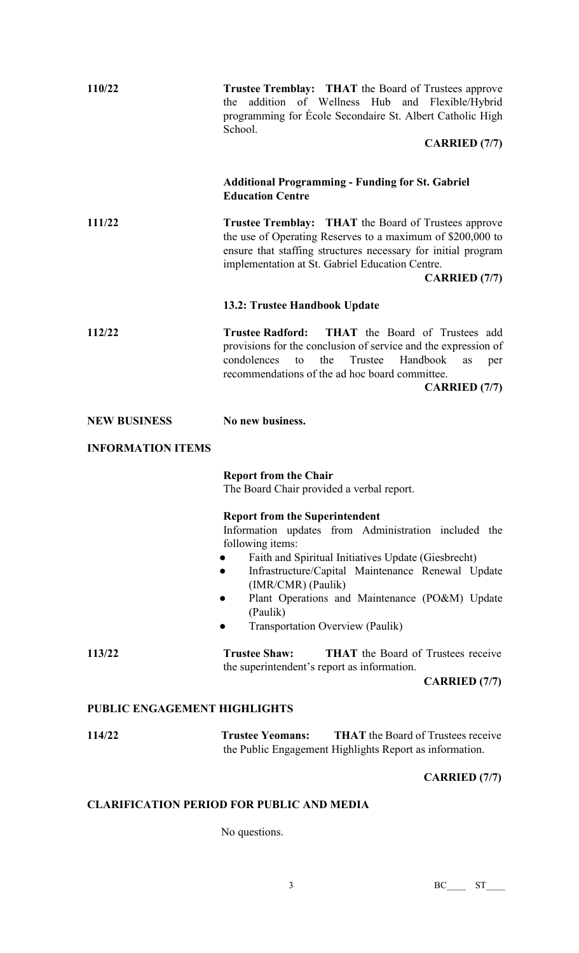| 110/22                       | <b>Trustee Tremblay:</b> THAT the Board of Trustees approve<br>the addition of Wellness Hub and Flexible/Hybrid<br>programming for Ecole Secondaire St. Albert Catholic High<br>School.                                                                                                                                                                      |
|------------------------------|--------------------------------------------------------------------------------------------------------------------------------------------------------------------------------------------------------------------------------------------------------------------------------------------------------------------------------------------------------------|
|                              | <b>CARRIED</b> (7/7)                                                                                                                                                                                                                                                                                                                                         |
|                              | <b>Additional Programming - Funding for St. Gabriel</b><br><b>Education Centre</b>                                                                                                                                                                                                                                                                           |
| 111/22                       | <b>Trustee Tremblay:</b> THAT the Board of Trustees approve<br>the use of Operating Reserves to a maximum of \$200,000 to<br>ensure that staffing structures necessary for initial program<br>implementation at St. Gabriel Education Centre.<br><b>CARRIED</b> (7/7)                                                                                        |
|                              | 13.2: Trustee Handbook Update                                                                                                                                                                                                                                                                                                                                |
| 112/22                       | THAT the Board of Trustees add<br><b>Trustee Radford:</b><br>provisions for the conclusion of service and the expression of<br>condolences<br>Trustee<br>the<br>Handbook<br>to<br>as<br>per<br>recommendations of the ad hoc board committee.<br><b>CARRIED</b> (7/7)                                                                                        |
| <b>NEW BUSINESS</b>          | No new business.                                                                                                                                                                                                                                                                                                                                             |
| <b>INFORMATION ITEMS</b>     |                                                                                                                                                                                                                                                                                                                                                              |
|                              | <b>Report from the Chair</b><br>The Board Chair provided a verbal report.                                                                                                                                                                                                                                                                                    |
|                              | <b>Report from the Superintendent</b><br>Information updates from Administration included the<br>following items:<br>Faith and Spiritual Initiatives Update (Giesbrecht)<br>Infrastructure/Capital Maintenance Renewal Update<br>(IMR/CMR) (Paulik)<br>Plant Operations and Maintenance (PO&M) Update<br>(Paulik)<br><b>Transportation Overview (Paulik)</b> |
| 113/22                       | <b>Trustee Shaw:</b><br><b>THAT</b> the Board of Trustees receive<br>the superintendent's report as information.                                                                                                                                                                                                                                             |
|                              | <b>CARRIED</b> (7/7)                                                                                                                                                                                                                                                                                                                                         |
| PUBLIC ENGAGEMENT HIGHLIGHTS |                                                                                                                                                                                                                                                                                                                                                              |
| 114/22                       | <b>THAT</b> the Board of Trustees receive<br><b>Trustee Yeomans:</b><br>the Public Engagement Highlights Report as information.                                                                                                                                                                                                                              |
|                              | <b>CARRIED</b> (7/7)                                                                                                                                                                                                                                                                                                                                         |

## **CLARIFICATION PERIOD FOR PUBLIC AND MEDIA**

No questions.